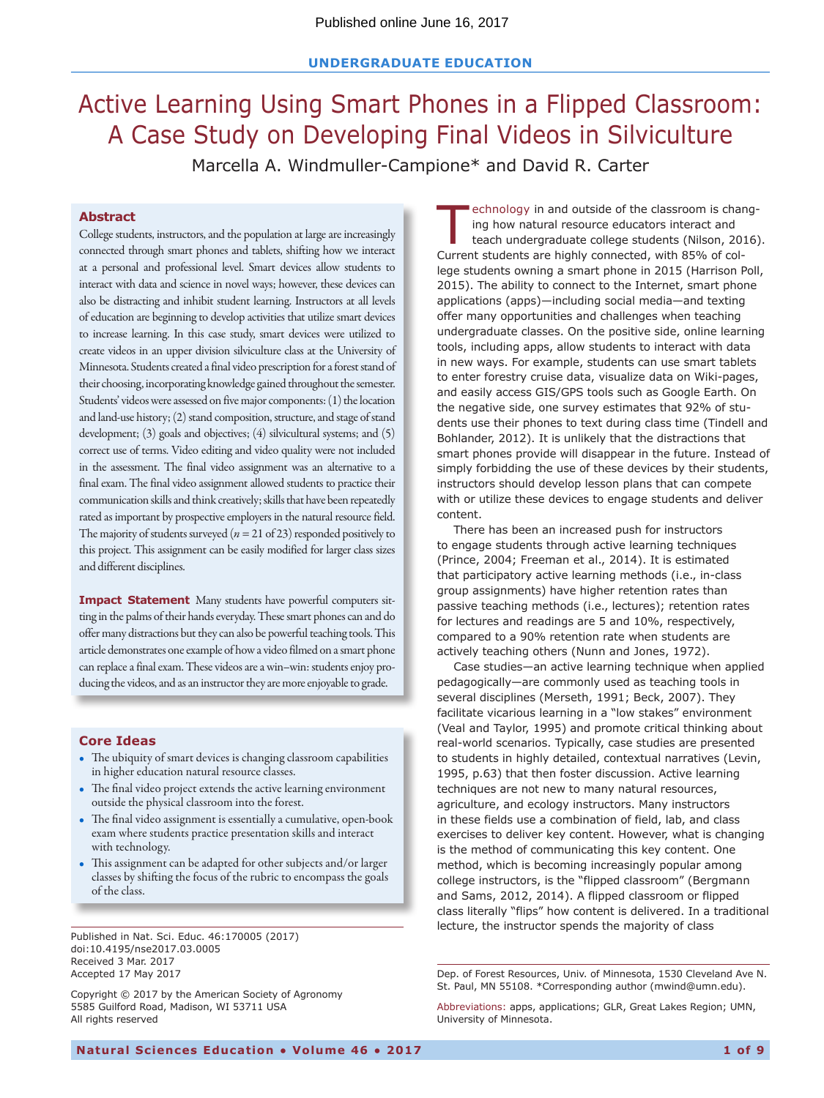#### **Undergraduate Education**

# Active Learning Using Smart Phones in a Flipped Classroom: A Case Study on Developing Final Videos in Silviculture

Marcella A. Windmuller-Campione\* and David R. Carter

# **Abstract**

College students, instructors, and the population at large are increasingly connected through smart phones and tablets, shifting how we interact at a personal and professional level. Smart devices allow students to interact with data and science in novel ways; however, these devices can also be distracting and inhibit student learning. Instructors at all levels of education are beginning to develop activities that utilize smart devices to increase learning. In this case study, smart devices were utilized to create videos in an upper division silviculture class at the University of Minnesota. Students created a final video prescription for a forest stand of their choosing, incorporating knowledge gained throughout the semester. Students' videos were assessed on five major components: (1) the location and land-use history; (2) stand composition, structure, and stage of stand development; (3) goals and objectives; (4) silvicultural systems; and (5) correct use of terms. Video editing and video quality were not included in the assessment. The final video assignment was an alternative to a final exam. The final video assignment allowed students to practice their communication skills and think creatively; skills that have been repeatedly rated as important by prospective employers in the natural resource field. The majority of students surveyed ( $n = 21$  of 23) responded positively to this project. This assignment can be easily modified for larger class sizes and different disciplines.

**Impact Statement** Many students have powerful computers sitting in the palms of their hands everyday. These smart phones can and do offer many distractions but they can also be powerful teaching tools. This article demonstrates one example of how a video filmed on a smart phone can replace a final exam. These videos are a win–win: students enjoy producing the videos, and as an instructor they are more enjoyable to grade.

# **Core Ideas**

- The ubiquity of smart devices is changing classroom capabilities in higher education natural resource classes.
- The final video project extends the active learning environment outside the physical classroom into the forest.
- The final video assignment is essentially a cumulative, open-book exam where students practice presentation skills and interact with technology.
- This assignment can be adapted for other subjects and/or larger classes by shifting the focus of the rubric to encompass the goals of the class.

Published in Nat. Sci. Educ. 46:170005 (2017) doi:10.4195/nse2017.03.0005 Received 3 Mar. 2017 Accepted 17 May 2017

Copyright © 2017 by the American Society of Agronomy 5585 Guilford Road, Madison, WI 53711 USA All rights reserved

echnology in and outside of the classroom is chang-<br>ing how natural resource educators interact and<br>teach undergraduate college students (Nilson, 2016)<br>Current students are bigbly connected with 85% of coling how natural resource educators interact and teach undergraduate college students (Nilson, 2016). Current students are highly connected, with 85% of college students owning a smart phone in 2015 (Harrison Poll, 2015). The ability to connect to the Internet, smart phone applications (apps)—including social media—and texting offer many opportunities and challenges when teaching undergraduate classes. On the positive side, online learning tools, including apps, allow students to interact with data in new ways. For example, students can use smart tablets to enter forestry cruise data, visualize data on Wiki-pages, and easily access GIS/GPS tools such as Google Earth. On the negative side, one survey estimates that 92% of students use their phones to text during class time (Tindell and Bohlander, 2012). It is unlikely that the distractions that smart phones provide will disappear in the future. Instead of simply forbidding the use of these devices by their students, instructors should develop lesson plans that can compete with or utilize these devices to engage students and deliver content.

There has been an increased push for instructors to engage students through active learning techniques (Prince, 2004; Freeman et al., 2014). It is estimated that participatory active learning methods (i.e., in-class group assignments) have higher retention rates than passive teaching methods (i.e., lectures); retention rates for lectures and readings are 5 and 10%, respectively, compared to a 90% retention rate when students are actively teaching others (Nunn and Jones, 1972).

Case studies—an active learning technique when applied pedagogically—are commonly used as teaching tools in several disciplines (Merseth, 1991; Beck, 2007). They facilitate vicarious learning in a "low stakes" environment (Veal and Taylor, 1995) and promote critical thinking about real-world scenarios. Typically, case studies are presented to students in highly detailed, contextual narratives (Levin, 1995, p.63) that then foster discussion. Active learning techniques are not new to many natural resources, agriculture, and ecology instructors. Many instructors in these fields use a combination of field, lab, and class exercises to deliver key content. However, what is changing is the method of communicating this key content. One method, which is becoming increasingly popular among college instructors, is the "flipped classroom" (Bergmann and Sams, 2012, 2014). A flipped classroom or flipped class literally "flips" how content is delivered. In a traditional lecture, the instructor spends the majority of class

Dep. of Forest Resources, Univ. of Minnesota, 1530 Cleveland Ave N. St. Paul, MN 55108. \*Corresponding author ([mwind@umn.edu](mailto:mwind@umn.edu)).

Abbreviations: apps, applications; GLR, Great Lakes Region; UMN, University of Minnesota.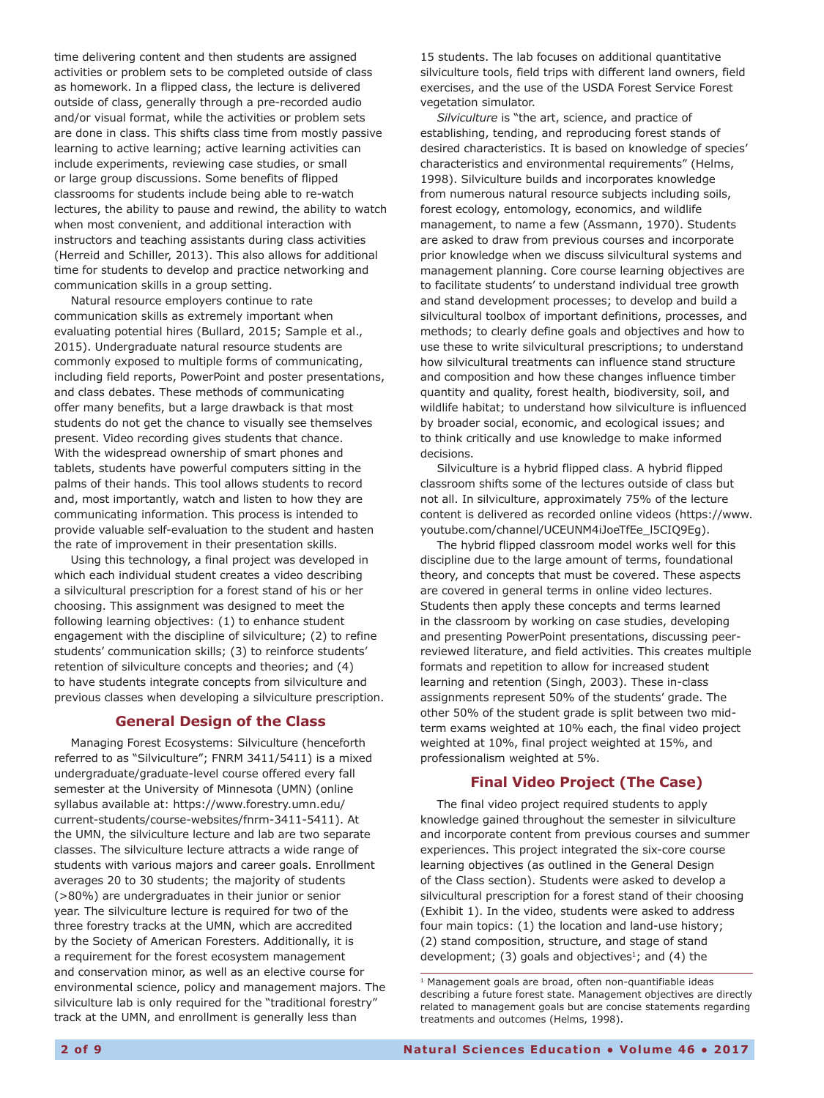time delivering content and then students are assigned activities or problem sets to be completed outside of class as homework. In a flipped class, the lecture is delivered outside of class, generally through a pre-recorded audio and/or visual format, while the activities or problem sets are done in class. This shifts class time from mostly passive learning to active learning; active learning activities can include experiments, reviewing case studies, or small or large group discussions. Some benefits of flipped classrooms for students include being able to re-watch lectures, the ability to pause and rewind, the ability to watch when most convenient, and additional interaction with instructors and teaching assistants during class activities (Herreid and Schiller, 2013). This also allows for additional time for students to develop and practice networking and communication skills in a group setting.

Natural resource employers continue to rate communication skills as extremely important when evaluating potential hires (Bullard, 2015; Sample et al., 2015). Undergraduate natural resource students are commonly exposed to multiple forms of communicating, including field reports, PowerPoint and poster presentations, and class debates. These methods of communicating offer many benefits, but a large drawback is that most students do not get the chance to visually see themselves present. Video recording gives students that chance. With the widespread ownership of smart phones and tablets, students have powerful computers sitting in the palms of their hands. This tool allows students to record and, most importantly, watch and listen to how they are communicating information. This process is intended to provide valuable self-evaluation to the student and hasten the rate of improvement in their presentation skills.

Using this technology, a final project was developed in which each individual student creates a video describing a silvicultural prescription for a forest stand of his or her choosing. This assignment was designed to meet the following learning objectives: (1) to enhance student engagement with the discipline of silviculture; (2) to refine students' communication skills; (3) to reinforce students' retention of silviculture concepts and theories; and (4) to have students integrate concepts from silviculture and previous classes when developing a silviculture prescription.

## **General Design of the Class**

Managing Forest Ecosystems: Silviculture (henceforth referred to as "Silviculture"; FNRM 3411/5411) is a mixed undergraduate/graduate-level course offered every fall semester at the University of Minnesota (UMN) (online syllabus available at: [https://www.forestry.umn.edu/](https://www.forestry.umn.edu/current-students/course-websites/fnrm-3411-5411) [current-students/course-websites/fnrm-3411-5411](https://www.forestry.umn.edu/current-students/course-websites/fnrm-3411-5411)). At the UMN, the silviculture lecture and lab are two separate classes. The silviculture lecture attracts a wide range of students with various majors and career goals. Enrollment averages 20 to 30 students; the majority of students (>80%) are undergraduates in their junior or senior year. The silviculture lecture is required for two of the three forestry tracks at the UMN, which are accredited by the Society of American Foresters. Additionally, it is a requirement for the forest ecosystem management and conservation minor, as well as an elective course for environmental science, policy and management majors. The silviculture lab is only required for the "traditional forestry" track at the UMN, and enrollment is generally less than

15 students. The lab focuses on additional quantitative silviculture tools, field trips with different land owners, field exercises, and the use of the USDA Forest Service Forest vegetation simulator.

*Silviculture* is "the art, science, and practice of establishing, tending, and reproducing forest stands of desired characteristics. It is based on knowledge of species' characteristics and environmental requirements" (Helms, 1998). Silviculture builds and incorporates knowledge from numerous natural resource subjects including soils, forest ecology, entomology, economics, and wildlife management, to name a few (Assmann, 1970). Students are asked to draw from previous courses and incorporate prior knowledge when we discuss silvicultural systems and management planning. Core course learning objectives are to facilitate students' to understand individual tree growth and stand development processes; to develop and build a silvicultural toolbox of important definitions, processes, and methods; to clearly define goals and objectives and how to use these to write silvicultural prescriptions; to understand how silvicultural treatments can influence stand structure and composition and how these changes influence timber quantity and quality, forest health, biodiversity, soil, and wildlife habitat; to understand how silviculture is influenced by broader social, economic, and ecological issues; and to think critically and use knowledge to make informed decisions.

Silviculture is a hybrid flipped class. A hybrid flipped classroom shifts some of the lectures outside of class but not all. In silviculture, approximately 75% of the lecture content is delivered as recorded online videos [\(https://www.](https://www.youtube.com/channel/UCEUNM4iJoeTfEe_l5CIQ9Eg) [youtube.com/channel/UCEUNM4iJoeTfEe\\_l5CIQ9Eg\)](https://www.youtube.com/channel/UCEUNM4iJoeTfEe_l5CIQ9Eg).

The hybrid flipped classroom model works well for this discipline due to the large amount of terms, foundational theory, and concepts that must be covered. These aspects are covered in general terms in online video lectures. Students then apply these concepts and terms learned in the classroom by working on case studies, developing and presenting PowerPoint presentations, discussing peerreviewed literature, and field activities. This creates multiple formats and repetition to allow for increased student learning and retention (Singh, 2003). These in-class assignments represent 50% of the students' grade. The other 50% of the student grade is split between two midterm exams weighted at 10% each, the final video project weighted at 10%, final project weighted at 15%, and professionalism weighted at 5%.

## **Final Video Project (The Case)**

The final video project required students to apply knowledge gained throughout the semester in silviculture and incorporate content from previous courses and summer experiences. This project integrated the six-core course learning objectives (as outlined in the General Design of the Class section). Students were asked to develop a silvicultural prescription for a forest stand of their choosing (Exhibit 1). In the video, students were asked to address four main topics: (1) the location and land-use history; (2) stand composition, structure, and stage of stand development; (3) goals and objectives<sup>1</sup>; and (4) the

<sup>1</sup> Management goals are broad, often non-quantifiable ideas describing a future forest state. Management objectives are directly related to management goals but are concise statements regarding treatments and outcomes (Helms, 1998).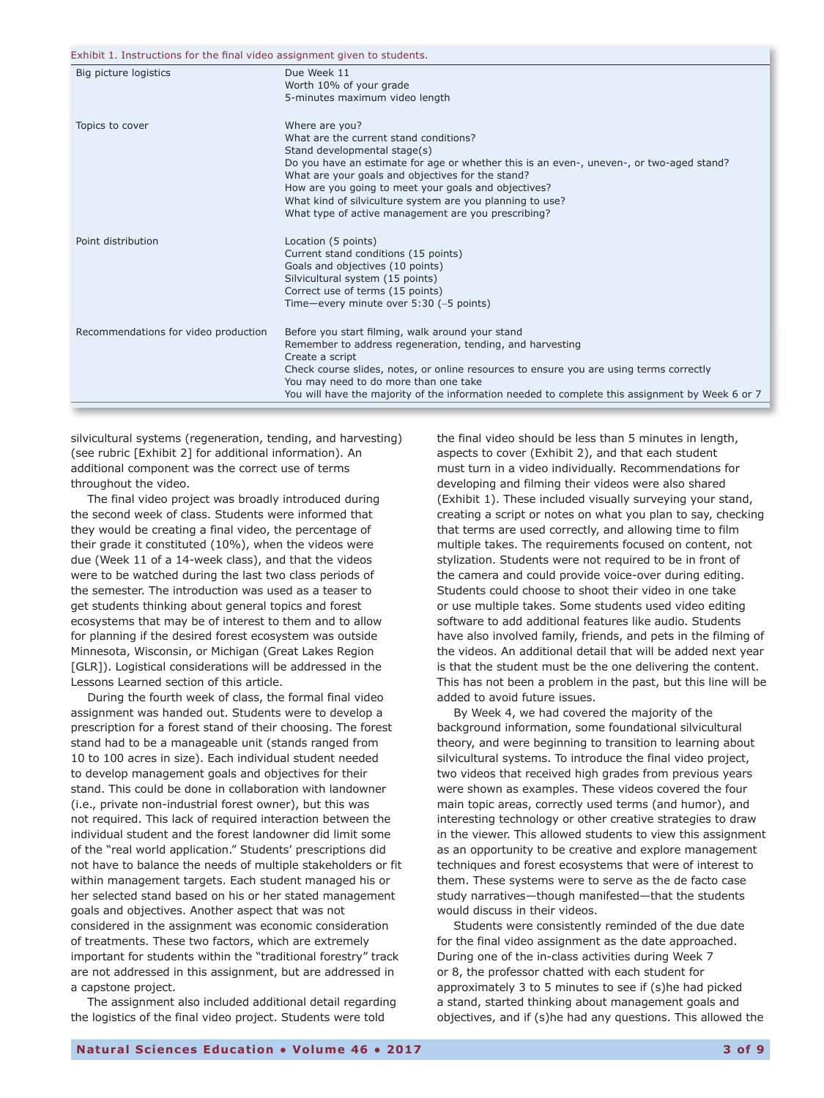| Exhibit 1. Instructions for the final video assignment given to students. |  |  |  |
|---------------------------------------------------------------------------|--|--|--|
|---------------------------------------------------------------------------|--|--|--|

| EXIMPIC 1. INSTRUCTIONS FOR THE MIND VIDEO ASSIGNMENT QIVEN TO STUDENTS. |                                                                                                 |  |  |  |  |  |
|--------------------------------------------------------------------------|-------------------------------------------------------------------------------------------------|--|--|--|--|--|
| Big picture logistics                                                    | Due Week 11                                                                                     |  |  |  |  |  |
|                                                                          | Worth 10% of your grade                                                                         |  |  |  |  |  |
|                                                                          | 5-minutes maximum video length                                                                  |  |  |  |  |  |
| Topics to cover                                                          | Where are you?                                                                                  |  |  |  |  |  |
|                                                                          | What are the current stand conditions?                                                          |  |  |  |  |  |
|                                                                          | Stand developmental stage(s)                                                                    |  |  |  |  |  |
|                                                                          | Do you have an estimate for age or whether this is an even-, uneven-, or two-aged stand?        |  |  |  |  |  |
|                                                                          | What are your goals and objectives for the stand?                                               |  |  |  |  |  |
|                                                                          | How are you going to meet your goals and objectives?                                            |  |  |  |  |  |
|                                                                          | What kind of silviculture system are you planning to use?                                       |  |  |  |  |  |
|                                                                          | What type of active management are you prescribing?                                             |  |  |  |  |  |
| Point distribution                                                       | Location (5 points)                                                                             |  |  |  |  |  |
|                                                                          | Current stand conditions (15 points)                                                            |  |  |  |  |  |
|                                                                          | Goals and objectives (10 points)                                                                |  |  |  |  |  |
|                                                                          | Silvicultural system (15 points)                                                                |  |  |  |  |  |
|                                                                          | Correct use of terms (15 points)                                                                |  |  |  |  |  |
|                                                                          | Time-every minute over 5:30 (-5 points)                                                         |  |  |  |  |  |
|                                                                          |                                                                                                 |  |  |  |  |  |
| Recommendations for video production                                     | Before you start filming, walk around your stand                                                |  |  |  |  |  |
|                                                                          | Remember to address regeneration, tending, and harvesting                                       |  |  |  |  |  |
|                                                                          | Create a script                                                                                 |  |  |  |  |  |
|                                                                          | Check course slides, notes, or online resources to ensure you are using terms correctly         |  |  |  |  |  |
|                                                                          | You may need to do more than one take                                                           |  |  |  |  |  |
|                                                                          | You will have the majority of the information needed to complete this assignment by Week 6 or 7 |  |  |  |  |  |
|                                                                          |                                                                                                 |  |  |  |  |  |

silvicultural systems (regeneration, tending, and harvesting) (see rubric [Exhibit 2] for additional information). An additional component was the correct use of terms throughout the video.

The final video project was broadly introduced during the second week of class. Students were informed that they would be creating a final video, the percentage of their grade it constituted (10%), when the videos were due (Week 11 of a 14-week class), and that the videos were to be watched during the last two class periods of the semester. The introduction was used as a teaser to get students thinking about general topics and forest ecosystems that may be of interest to them and to allow for planning if the desired forest ecosystem was outside Minnesota, Wisconsin, or Michigan (Great Lakes Region [GLR]). Logistical considerations will be addressed in the Lessons Learned section of this article.

During the fourth week of class, the formal final video assignment was handed out. Students were to develop a prescription for a forest stand of their choosing. The forest stand had to be a manageable unit (stands ranged from 10 to 100 acres in size). Each individual student needed to develop management goals and objectives for their stand. This could be done in collaboration with landowner (i.e., private non-industrial forest owner), but this was not required. This lack of required interaction between the individual student and the forest landowner did limit some of the "real world application." Students' prescriptions did not have to balance the needs of multiple stakeholders or fit within management targets. Each student managed his or her selected stand based on his or her stated management goals and objectives. Another aspect that was not considered in the assignment was economic consideration of treatments. These two factors, which are extremely important for students within the "traditional forestry" track are not addressed in this assignment, but are addressed in a capstone project.

The assignment also included additional detail regarding the logistics of the final video project. Students were told

the final video should be less than 5 minutes in length, aspects to cover (Exhibit 2), and that each student must turn in a video individually. Recommendations for developing and filming their videos were also shared (Exhibit 1). These included visually surveying your stand, creating a script or notes on what you plan to say, checking that terms are used correctly, and allowing time to film multiple takes. The requirements focused on content, not stylization. Students were not required to be in front of the camera and could provide voice-over during editing. Students could choose to shoot their video in one take or use multiple takes. Some students used video editing software to add additional features like audio. Students have also involved family, friends, and pets in the filming of the videos. An additional detail that will be added next year is that the student must be the one delivering the content. This has not been a problem in the past, but this line will be added to avoid future issues.

By Week 4, we had covered the majority of the background information, some foundational silvicultural theory, and were beginning to transition to learning about silvicultural systems. To introduce the final video project, two videos that received high grades from previous years were shown as examples. These videos covered the four main topic areas, correctly used terms (and humor), and interesting technology or other creative strategies to draw in the viewer. This allowed students to view this assignment as an opportunity to be creative and explore management techniques and forest ecosystems that were of interest to them. These systems were to serve as the de facto case study narratives—though manifested—that the students would discuss in their videos.

Students were consistently reminded of the due date for the final video assignment as the date approached. During one of the in-class activities during Week 7 or 8, the professor chatted with each student for approximately 3 to 5 minutes to see if (s)he had picked a stand, started thinking about management goals and objectives, and if (s)he had any questions. This allowed the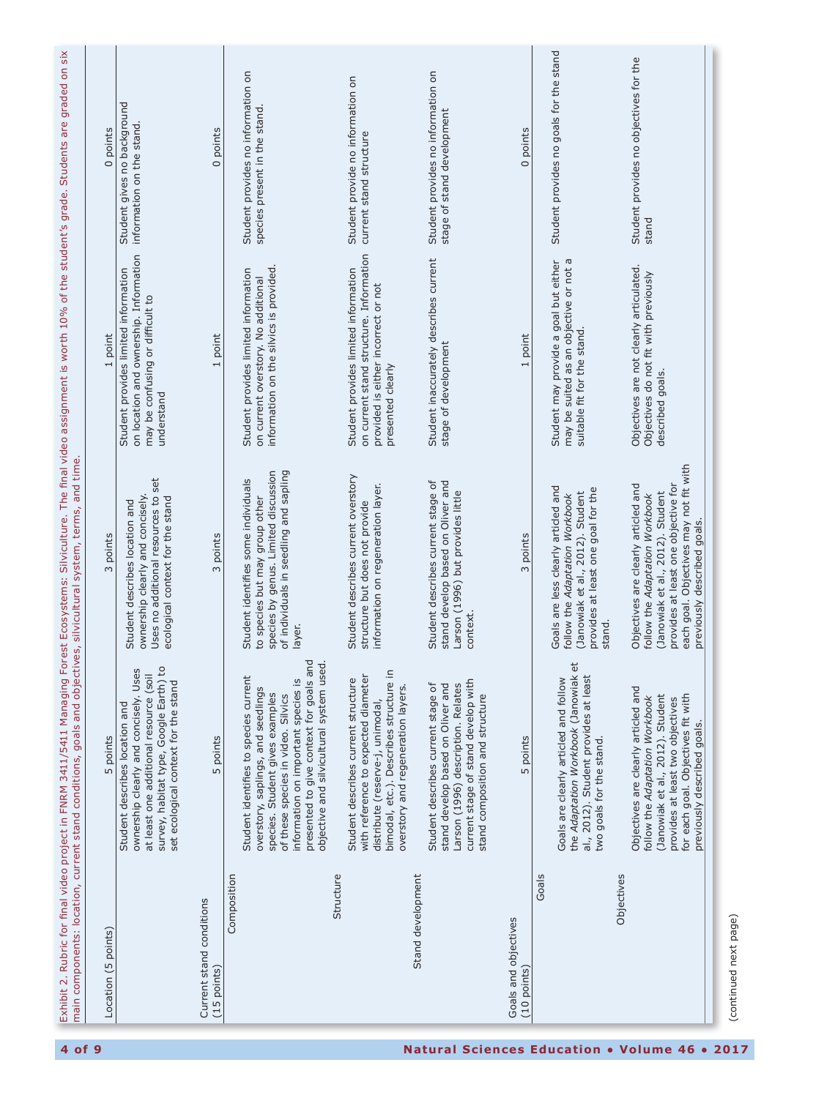| Location (5 points)<br>4 of 9                 | 5 points                                                                                                                                                                                                                                                                           | points<br>$\infty$                                                                                                                                                                                                        | 1 point                                                                                                                                     | 0 points                                                            |
|-----------------------------------------------|------------------------------------------------------------------------------------------------------------------------------------------------------------------------------------------------------------------------------------------------------------------------------------|---------------------------------------------------------------------------------------------------------------------------------------------------------------------------------------------------------------------------|---------------------------------------------------------------------------------------------------------------------------------------------|---------------------------------------------------------------------|
|                                               | survey, habitat type, Google Earth) to<br>ownership clearly and concisely. Uses<br>at least one additional resource (soil<br>set ecological context for the stand<br>Student describes location and                                                                                | Uses no additional resources to set<br>ownership clearly and concisely.<br>ecological context for the stand<br>Student describes location and                                                                             | on location and ownership. Information<br>Student provides limited information<br>may be confusing or difficult to<br>understand            | Student gives no background<br>information on the stand.            |
| Current stand conditions<br>$(15$ points)     | 5 points                                                                                                                                                                                                                                                                           | 3 points                                                                                                                                                                                                                  | 1 point                                                                                                                                     | 0 points                                                            |
| Composition                                   |                                                                                                                                                                                                                                                                                    |                                                                                                                                                                                                                           |                                                                                                                                             |                                                                     |
|                                               | presented to give context for goals and<br>objective and silvicultural system used.<br>Student identifies to species current<br>information on important species is<br>overstory, saplings, and seedlings<br>species. Student gives examples<br>of these species in video. Silvics | species by genus. Limited discussion<br>of individuals in seedling and sapling<br>Student identifies some individuals<br>to species but may group other<br>layer.                                                         | information on the silvics is provided.<br>Student provides limited information<br>on current overstory. No additional                      | Student provides no information on<br>species present in the stand. |
| Structure                                     |                                                                                                                                                                                                                                                                                    |                                                                                                                                                                                                                           |                                                                                                                                             |                                                                     |
| Stand development                             | bimodal, etc.). Describes structure in<br>with reference to expected diameter<br>Student describes current structure<br>overstory and regeneration layers.<br>distribute (reserve-j, unimodal,                                                                                     | Student describes current overstory<br>information on regeneration layer.<br>structure but does not provide                                                                                                               | on current stand structure. Information<br>Student provides limited information<br>provided is either incorrect or not<br>presented clearly | Student provide no information on<br>current stand structure        |
| <b>Natural Sciences Education . Volume 46</b> | current stage of stand develop with<br>Larson (1996) description. Relates<br>Student describes current stage of<br>stand develop based on Oliver and<br>stand composition and structure                                                                                            | Student describes current stage of<br>stand develop based on Oliver and<br>Larson (1996) but provides little<br>context.                                                                                                  | Student inaccurately describes current<br>stage of development                                                                              | Student provides no information on<br>stage of stand development    |
| Goals and objectives<br>$(10 \text{ points})$ | 5 points                                                                                                                                                                                                                                                                           | 3 points                                                                                                                                                                                                                  | 1 point                                                                                                                                     | 0 points                                                            |
|                                               | Goals                                                                                                                                                                                                                                                                              |                                                                                                                                                                                                                           |                                                                                                                                             |                                                                     |
|                                               | the Adaptation Workbook (Janowiak et<br>al., 2012). Student provides at least<br>Goals are clearly articled and follow<br>two goals for the stand.                                                                                                                                 | Goals are less clearly articled and<br>provides at least one goal for the<br>(Janowiak et al., 2012). Student<br>follow the Adaptation Workbook<br>stand.                                                                 | may be suited as an objective or not a<br>Student may provide a goal but either<br>suitable fit for the stand.                              | Student provides no goals for the stand                             |
| Objectives                                    |                                                                                                                                                                                                                                                                                    |                                                                                                                                                                                                                           |                                                                                                                                             |                                                                     |
| • 2017                                        | Objectives are clearly articled and<br>(Janowiak et al., 2012). Student<br>for each goal. Objectives fit with<br>follow the Adaptation Workbook<br>provides at least two objectives<br>previously described goals.                                                                 | each goal. Objectives may not fit with<br>provides at least one objective for<br>Objectives are clearly articled and<br>(Janowiak et al., 2012). Student<br>follow the Adaptation Workbook<br>previously described goals. | Objectives are not clearly articulated.<br>Objectives do not fit with previously<br>described goals.                                        | Student provides no objectives for the<br>stand                     |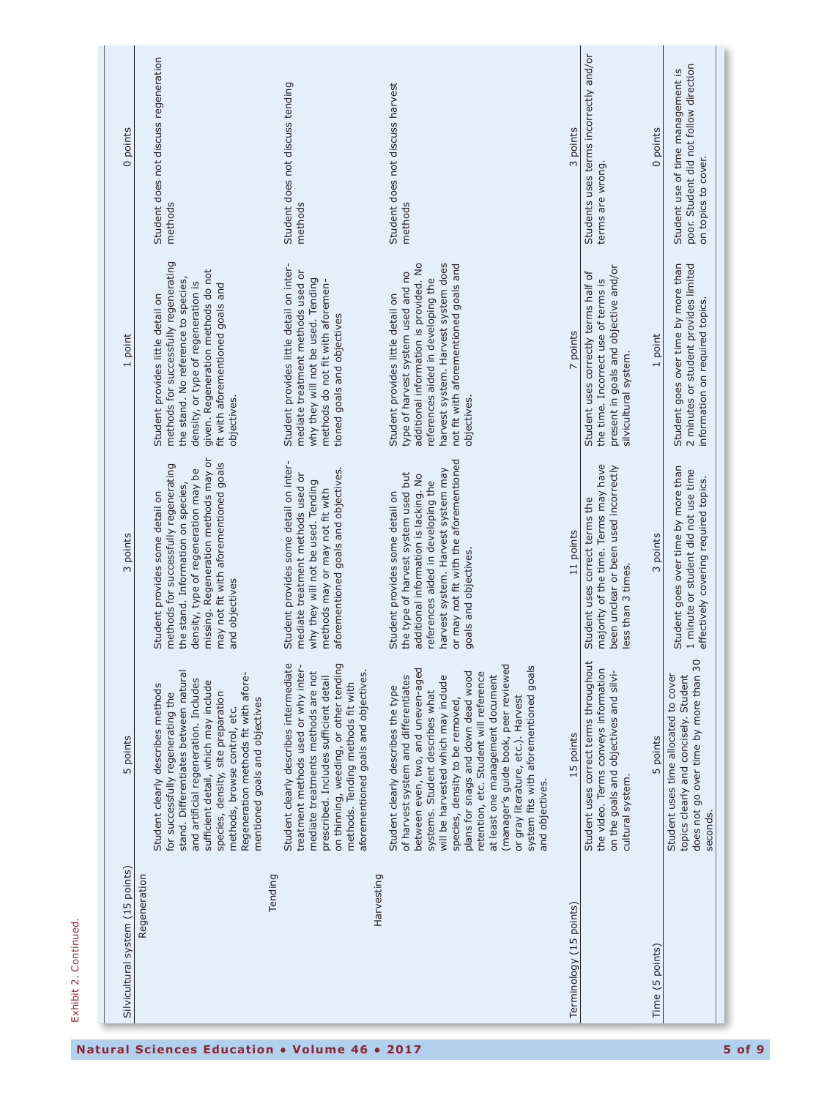| Silvicultural system (15 points) | Regeneration |                                                                                                                                                                                                                                                                                                                                                   | Tending                                                                                                                                                                                                                                                                               | Harvesting |                                                                                                                                                                                                                                                                                                                                                                                                                                                                                             | Terminology (15 points) |                                                                                                                                               | Time (5 points) |                                                                                                                                              |
|----------------------------------|--------------|---------------------------------------------------------------------------------------------------------------------------------------------------------------------------------------------------------------------------------------------------------------------------------------------------------------------------------------------------|---------------------------------------------------------------------------------------------------------------------------------------------------------------------------------------------------------------------------------------------------------------------------------------|------------|---------------------------------------------------------------------------------------------------------------------------------------------------------------------------------------------------------------------------------------------------------------------------------------------------------------------------------------------------------------------------------------------------------------------------------------------------------------------------------------------|-------------------------|-----------------------------------------------------------------------------------------------------------------------------------------------|-----------------|----------------------------------------------------------------------------------------------------------------------------------------------|
| 5 points                         |              | stand. Differentiates between natural<br>Regeneration methods fit with afore-<br>and artificial regeneration. Includes<br>sufficient detail, which may include<br>Student clearly describes methods<br>species, density, site preparation<br>for successfully regenerating the<br>mentioned goals and objectives<br>methods, browse control, etc. | Student clearly describes intermediate<br>treatment methods used or why inter-<br>on thinning, weeding, or other tending<br>mediate treatments methods are not<br>aforementioned goals and objectives.<br>prescribed. Includes sufficient detail<br>methods. Tending methods fit with |            | (manager's guide book, peer reviewed<br>between even, two, and uneven-aged<br>system fits with aforementioned goals<br>plans for snags and down dead wood<br>retention, etc. Student will reference<br>at least one management document<br>of harvest system and differentiates<br>will be harvested which may include<br>Student clearly describes the type<br>systems. Student describes what<br>or gray literature, etc.). Harvest<br>species, density to be removed,<br>and objectives. | 15 points               | Student uses correct terms throughout<br>the video. Terms conveys information<br>on the goals and objectives and silvi-<br>cultural system.   | 5 points        | $\circ$<br>does not go over time by more than 3<br>Student uses time allocated to cover<br>topics clearly and concisely. Student<br>seconds. |
| 3 points                         |              | missing. Regeneration methods may or<br>may not fit with aforementioned goals<br>methods for successfully regenerating<br>density, type of regeneration may be<br>the stand. Information on species,<br>Student provides some detail on<br>and objectives                                                                                         | Student provides some detail on inter-<br>aforementioned goals and objectives.<br>mediate treatment methods used or<br>why they will not be used. Tending<br>methods may or may not fit with                                                                                          |            | or may not fit with the aforementioned<br>harvest system. Harvest system may<br>the type of harvest system used but<br>additional information is lacking. No<br>references aided in developing the<br>Student provides some detail on<br>goals and objectives.                                                                                                                                                                                                                              | 11 points               | majority of the time. Terms may have<br>been unclear or been used incorrectly<br>Student uses correct terms the<br>less than 3 times.         | 3 points        | Student goes over time by more than<br>1 minute or student did not use time<br>effectively covering required topics.                         |
| 1 point                          |              | methods for successfully regenerating<br>given. Regeneration methods do not<br>the stand. No reference to species,<br>density, or type of regeneration is<br>fit with aforementioned goals and<br>Student provides little detail on<br>objectives.                                                                                                | Student provides little detail on inter-<br>mediate treatment methods used or<br>why they will not be used. Tending<br>methods do not fit with aforemen-<br>tioned goals and objectives                                                                                               |            | harvest system. Harvest system does<br>not fit with aforementioned goals and<br>additional information is provided. No<br>type of harvest system used and no<br>references aided in developing the<br>Student provides little detail on<br>objectives.                                                                                                                                                                                                                                      | 7 points                | present in goals and objective and/or<br>Student uses correctly terms half of<br>the time. Incorrect use of terms is<br>silvicultural system. | 1 point         | Student goes over time by more than<br>2 minutes or student provides limited<br>information on required topics.                              |
| 0 points                         |              | Student does not discuss regeneration<br>methods                                                                                                                                                                                                                                                                                                  | Student does not discuss tending<br>methods                                                                                                                                                                                                                                           |            | Student does not discuss harvest<br>methods                                                                                                                                                                                                                                                                                                                                                                                                                                                 | 3 points                | Students uses terms incorrectly and/or<br>terms are wrong.                                                                                    | 0 points        | poor. Student did not follow direction<br>on topics to cover.<br>Student use of time management is                                           |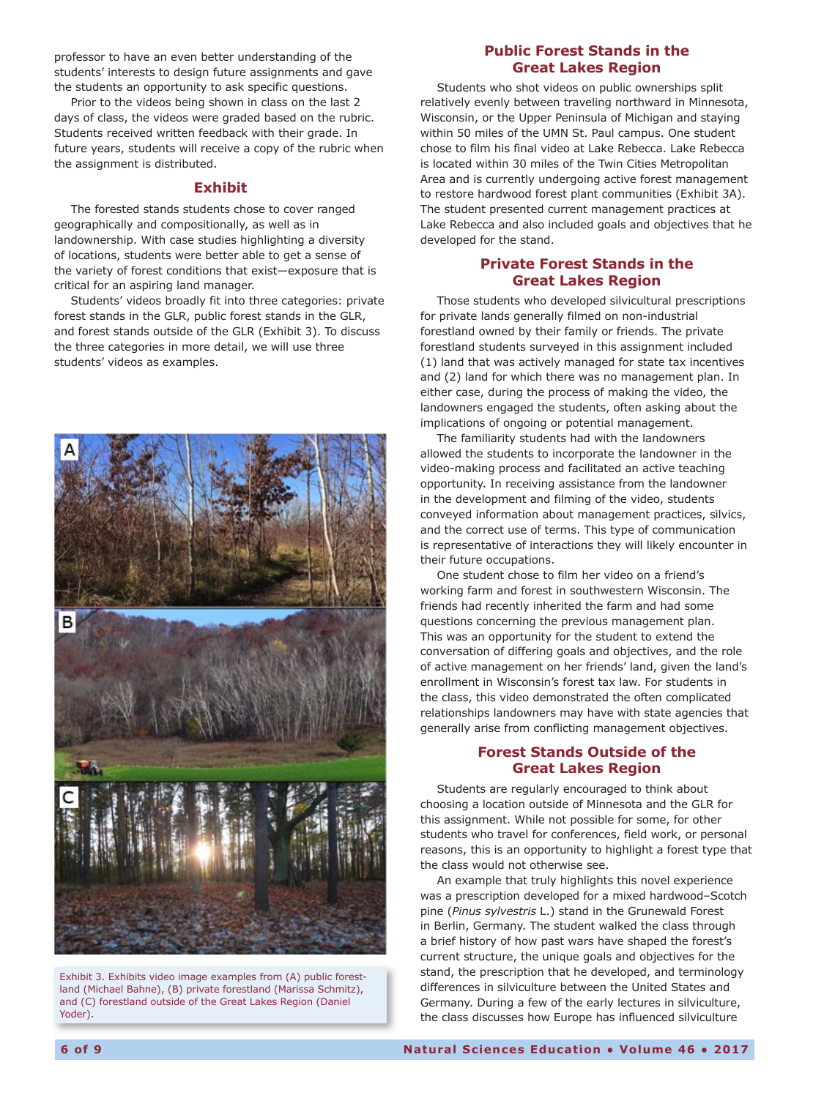professor to have an even better understanding of the students' interests to design future assignments and gave the students an opportunity to ask specific questions.

Prior to the videos being shown in class on the last 2 days of class, the videos were graded based on the rubric. Students received written feedback with their grade. In future years, students will receive a copy of the rubric when the assignment is distributed.

## **Exhibit**

The forested stands students chose to cover ranged geographically and compositionally, as well as in landownership. With case studies highlighting a diversity of locations, students were better able to get a sense of the variety of forest conditions that exist—exposure that is critical for an aspiring land manager.

Students' videos broadly fit into three categories: private forest stands in the GLR, public forest stands in the GLR, and forest stands outside of the GLR (Exhibit 3). To discuss the three categories in more detail, we will use three students' videos as examples.



Exhibit 3. Exhibits video image examples from (A) public forestland (Michael Bahne), (B) private forestland (Marissa Schmitz), and (C) forestland outside of the Great Lakes Region (Daniel Yoder).

# **Public Forest Stands in the Great Lakes Region**

Students who shot videos on public ownerships split relatively evenly between traveling northward in Minnesota, Wisconsin, or the Upper Peninsula of Michigan and staying within 50 miles of the UMN St. Paul campus. One student chose to film his final video at Lake Rebecca. Lake Rebecca is located within 30 miles of the Twin Cities Metropolitan Area and is currently undergoing active forest management to restore hardwood forest plant communities (Exhibit 3A). The student presented current management practices at Lake Rebecca and also included goals and objectives that he developed for the stand.

## **Private Forest Stands in the Great Lakes Region**

Those students who developed silvicultural prescriptions for private lands generally filmed on non-industrial forestland owned by their family or friends. The private forestland students surveyed in this assignment included (1) land that was actively managed for state tax incentives and (2) land for which there was no management plan. In either case, during the process of making the video, the landowners engaged the students, often asking about the implications of ongoing or potential management.

The familiarity students had with the landowners allowed the students to incorporate the landowner in the video-making process and facilitated an active teaching opportunity. In receiving assistance from the landowner in the development and filming of the video, students conveyed information about management practices, silvics, and the correct use of terms. This type of communication is representative of interactions they will likely encounter in their future occupations.

One student chose to film her video on a friend's working farm and forest in southwestern Wisconsin. The friends had recently inherited the farm and had some questions concerning the previous management plan. This was an opportunity for the student to extend the conversation of differing goals and objectives, and the role of active management on her friends' land, given the land's enrollment in Wisconsin's forest tax law. For students in the class, this video demonstrated the often complicated relationships landowners may have with state agencies that generally arise from conflicting management objectives.

# **Forest Stands Outside of the Great Lakes Region**

Students are regularly encouraged to think about choosing a location outside of Minnesota and the GLR for this assignment. While not possible for some, for other students who travel for conferences, field work, or personal reasons, this is an opportunity to highlight a forest type that the class would not otherwise see.

An example that truly highlights this novel experience was a prescription developed for a mixed hardwood–Scotch pine (*Pinus sylvestris* L.) stand in the Grunewald Forest in Berlin, Germany. The student walked the class through a brief history of how past wars have shaped the forest's current structure, the unique goals and objectives for the stand, the prescription that he developed, and terminology differences in silviculture between the United States and Germany. During a few of the early lectures in silviculture, the class discusses how Europe has influenced silviculture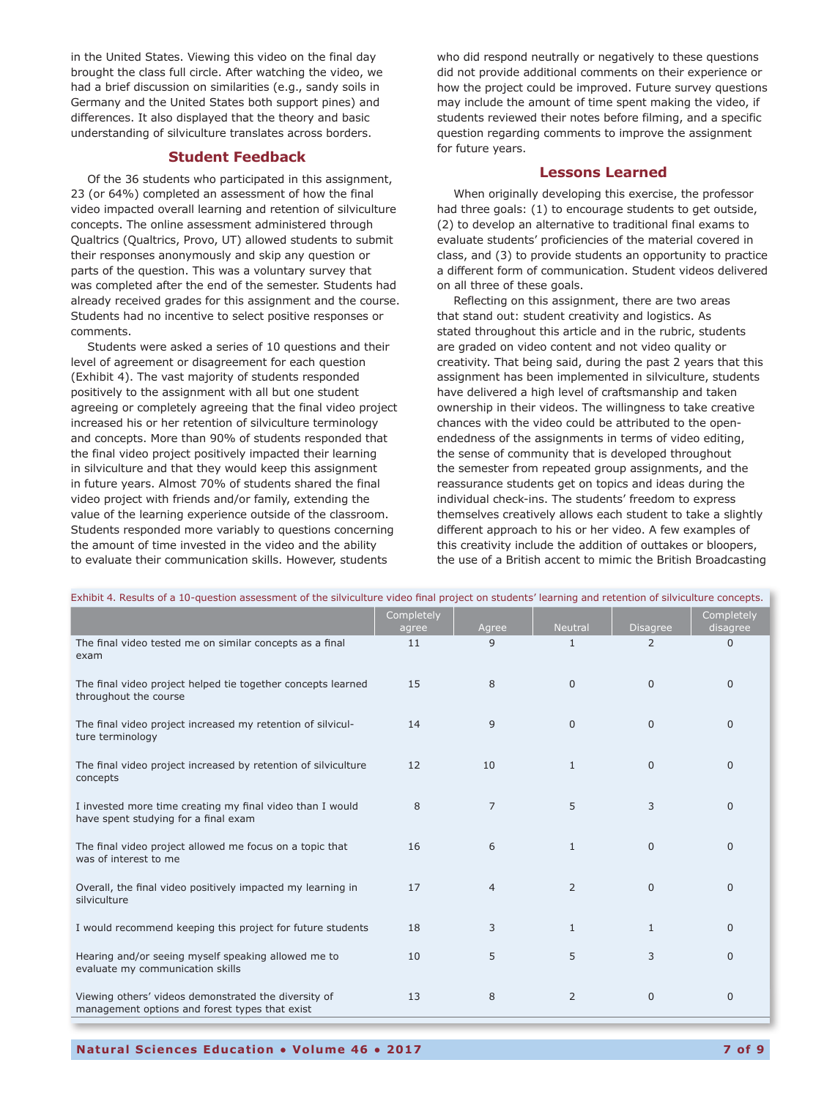in the United States. Viewing this video on the final day brought the class full circle. After watching the video, we had a brief discussion on similarities (e.g., sandy soils in Germany and the United States both support pines) and differences. It also displayed that the theory and basic understanding of silviculture translates across borders.

#### **Student Feedback**

Of the 36 students who participated in this assignment, 23 (or 64%) completed an assessment of how the final video impacted overall learning and retention of silviculture concepts. The online assessment administered through Qualtrics (Qualtrics, Provo, UT) allowed students to submit their responses anonymously and skip any question or parts of the question. This was a voluntary survey that was completed after the end of the semester. Students had already received grades for this assignment and the course. Students had no incentive to select positive responses or comments.

Students were asked a series of 10 questions and their level of agreement or disagreement for each question (Exhibit 4). The vast majority of students responded positively to the assignment with all but one student agreeing or completely agreeing that the final video project increased his or her retention of silviculture terminology and concepts. More than 90% of students responded that the final video project positively impacted their learning in silviculture and that they would keep this assignment in future years. Almost 70% of students shared the final video project with friends and/or family, extending the value of the learning experience outside of the classroom. Students responded more variably to questions concerning the amount of time invested in the video and the ability to evaluate their communication skills. However, students

who did respond neutrally or negatively to these questions did not provide additional comments on their experience or how the project could be improved. Future survey questions may include the amount of time spent making the video, if students reviewed their notes before filming, and a specific question regarding comments to improve the assignment for future years.

#### **Lessons Learned**

When originally developing this exercise, the professor had three goals: (1) to encourage students to get outside, (2) to develop an alternative to traditional final exams to evaluate students' proficiencies of the material covered in class, and (3) to provide students an opportunity to practice a different form of communication. Student videos delivered on all three of these goals.

Reflecting on this assignment, there are two areas that stand out: student creativity and logistics. As stated throughout this article and in the rubric, students are graded on video content and not video quality or creativity. That being said, during the past 2 years that this assignment has been implemented in silviculture, students have delivered a high level of craftsmanship and taken ownership in their videos. The willingness to take creative chances with the video could be attributed to the openendedness of the assignments in terms of video editing, the sense of community that is developed throughout the semester from repeated group assignments, and the reassurance students get on topics and ideas during the individual check-ins. The students' freedom to express themselves creatively allows each student to take a slightly different approach to his or her video. A few examples of this creativity include the addition of outtakes or bloopers, the use of a British accent to mimic the British Broadcasting

| Exhibit 4. Results of a 10-question assessment of the silviculture video final project on students' learning and retention of silviculture concepts. |                     |                |                  |                 |                        |
|------------------------------------------------------------------------------------------------------------------------------------------------------|---------------------|----------------|------------------|-----------------|------------------------|
|                                                                                                                                                      | Completely<br>agree | Agree          | <b>Neutral</b>   | <b>Disagree</b> | Completely<br>disagree |
| The final video tested me on similar concepts as a final<br>exam                                                                                     | 11                  | 9              | $\mathbf{1}$     | $\overline{2}$  | $\mathbf{0}$           |
| The final video project helped tie together concepts learned<br>throughout the course                                                                | 15                  | 8              | $\boldsymbol{0}$ | $\mathbf{0}$    | $\mathbf 0$            |
| The final video project increased my retention of silvicul-<br>ture terminology                                                                      | 14                  | 9              | $\mathbf 0$      | $\Omega$        | $\mathbf{0}$           |
| The final video project increased by retention of silviculture<br>concepts                                                                           | 12                  | 10             | $\mathbf{1}$     | $\mathbf{0}$    | $\mathbf 0$            |
| I invested more time creating my final video than I would<br>have spent studying for a final exam                                                    | 8                   | $\overline{7}$ | 5                | 3               | $\mathbf 0$            |
| The final video project allowed me focus on a topic that<br>was of interest to me                                                                    | 16                  | 6              | $\mathbf{1}$     | $\mathbf{0}$    | $\mathbf{0}$           |
| Overall, the final video positively impacted my learning in<br>silviculture                                                                          | 17                  | $\overline{4}$ | $\overline{2}$   | $\Omega$        | $\mathbf{0}$           |
| I would recommend keeping this project for future students                                                                                           | 18                  | 3              | $\mathbf{1}$     | $\mathbf{1}$    | $\mathbf{0}$           |
| Hearing and/or seeing myself speaking allowed me to<br>evaluate my communication skills                                                              | 10                  | 5              | 5                | 3               | $\mathbf{0}$           |
| Viewing others' videos demonstrated the diversity of<br>management options and forest types that exist                                               | 13                  | 8              | 2                | $\mathbf{0}$    | $\mathbf 0$            |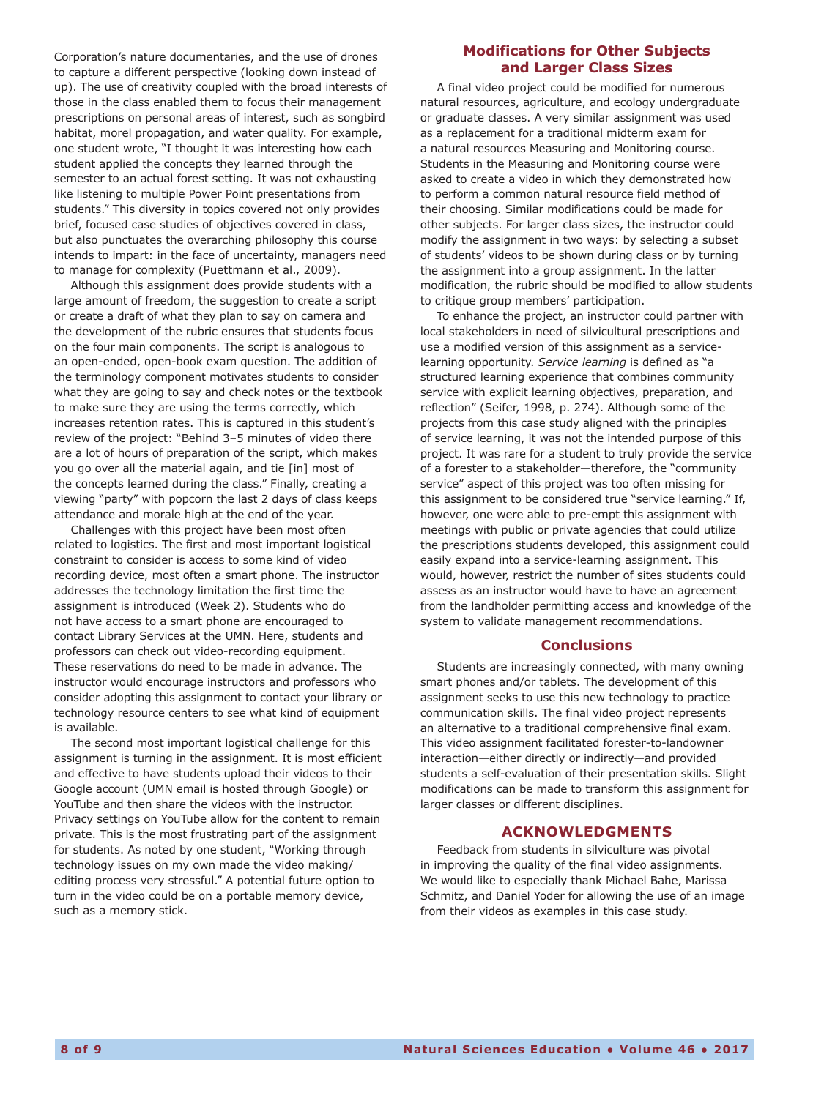Corporation's nature documentaries, and the use of drones to capture a different perspective (looking down instead of up). The use of creativity coupled with the broad interests of those in the class enabled them to focus their management prescriptions on personal areas of interest, such as songbird habitat, morel propagation, and water quality. For example, one student wrote, "I thought it was interesting how each student applied the concepts they learned through the semester to an actual forest setting. It was not exhausting like listening to multiple Power Point presentations from students." This diversity in topics covered not only provides brief, focused case studies of objectives covered in class, but also punctuates the overarching philosophy this course intends to impart: in the face of uncertainty, managers need to manage for complexity (Puettmann et al., 2009).

Although this assignment does provide students with a large amount of freedom, the suggestion to create a script or create a draft of what they plan to say on camera and the development of the rubric ensures that students focus on the four main components. The script is analogous to an open-ended, open-book exam question. The addition of the terminology component motivates students to consider what they are going to say and check notes or the textbook to make sure they are using the terms correctly, which increases retention rates. This is captured in this student's review of the project: "Behind 3–5 minutes of video there are a lot of hours of preparation of the script, which makes you go over all the material again, and tie [in] most of the concepts learned during the class." Finally, creating a viewing "party" with popcorn the last 2 days of class keeps attendance and morale high at the end of the year.

Challenges with this project have been most often related to logistics. The first and most important logistical constraint to consider is access to some kind of video recording device, most often a smart phone. The instructor addresses the technology limitation the first time the assignment is introduced (Week 2). Students who do not have access to a smart phone are encouraged to contact Library Services at the UMN. Here, students and professors can check out video-recording equipment. These reservations do need to be made in advance. The instructor would encourage instructors and professors who consider adopting this assignment to contact your library or technology resource centers to see what kind of equipment is available.

The second most important logistical challenge for this assignment is turning in the assignment. It is most efficient and effective to have students upload their videos to their Google account (UMN email is hosted through Google) or YouTube and then share the videos with the instructor. Privacy settings on YouTube allow for the content to remain private. This is the most frustrating part of the assignment for students. As noted by one student, "Working through technology issues on my own made the video making/ editing process very stressful." A potential future option to turn in the video could be on a portable memory device, such as a memory stick.

# **Modifications for Other Subjects and Larger Class Sizes**

A final video project could be modified for numerous natural resources, agriculture, and ecology undergraduate or graduate classes. A very similar assignment was used as a replacement for a traditional midterm exam for a natural resources Measuring and Monitoring course. Students in the Measuring and Monitoring course were asked to create a video in which they demonstrated how to perform a common natural resource field method of their choosing. Similar modifications could be made for other subjects. For larger class sizes, the instructor could modify the assignment in two ways: by selecting a subset of students' videos to be shown during class or by turning the assignment into a group assignment. In the latter modification, the rubric should be modified to allow students to critique group members' participation.

To enhance the project, an instructor could partner with local stakeholders in need of silvicultural prescriptions and use a modified version of this assignment as a servicelearning opportunity. *Service learning* is defined as "a structured learning experience that combines community service with explicit learning objectives, preparation, and reflection" (Seifer, 1998, p. 274). Although some of the projects from this case study aligned with the principles of service learning, it was not the intended purpose of this project. It was rare for a student to truly provide the service of a forester to a stakeholder—therefore, the "community service" aspect of this project was too often missing for this assignment to be considered true "service learning." If, however, one were able to pre-empt this assignment with meetings with public or private agencies that could utilize the prescriptions students developed, this assignment could easily expand into a service-learning assignment. This would, however, restrict the number of sites students could assess as an instructor would have to have an agreement from the landholder permitting access and knowledge of the system to validate management recommendations.

## **Conclusions**

Students are increasingly connected, with many owning smart phones and/or tablets. The development of this assignment seeks to use this new technology to practice communication skills. The final video project represents an alternative to a traditional comprehensive final exam. This video assignment facilitated forester-to-landowner interaction—either directly or indirectly—and provided students a self-evaluation of their presentation skills. Slight modifications can be made to transform this assignment for larger classes or different disciplines.

## **Acknowledgments**

Feedback from students in silviculture was pivotal in improving the quality of the final video assignments. We would like to especially thank Michael Bahe, Marissa Schmitz, and Daniel Yoder for allowing the use of an image from their videos as examples in this case study.